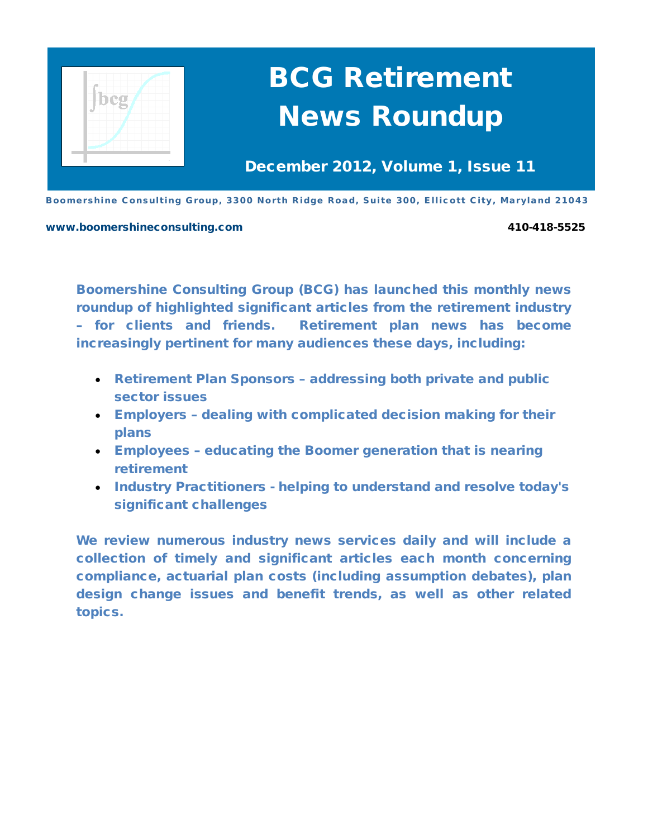

# BCG Retirement News Roundup

December 2012, Volume 1, Issue 11

Boomershine Consulting Group, 3300 North Ridge Road, Suite 300, Ellicott City, Maryland 21043

#### [www.boomershineconsulting.com](http://www.boomershineconsulting.com/) 410-418-5525

Boomershine Consulting Group (BCG) has launched this monthly news roundup of highlighted significant articles from the retirement industry – for clients and friends. Retirement plan news has become increasingly pertinent for many audiences these days, including:

- Retirement Plan Sponsors addressing both private and public sector issues
- Employers dealing with complicated decision making for their plans
- Employees educating the Boomer generation that is nearing retirement
- Industry Practitioners helping to understand and resolve today's significant challenges

We review numerous industry news services daily and will include a collection of timely and significant articles each month concerning compliance, actuarial plan costs (including assumption debates), plan design change issues and benefit trends, as well as other related topics.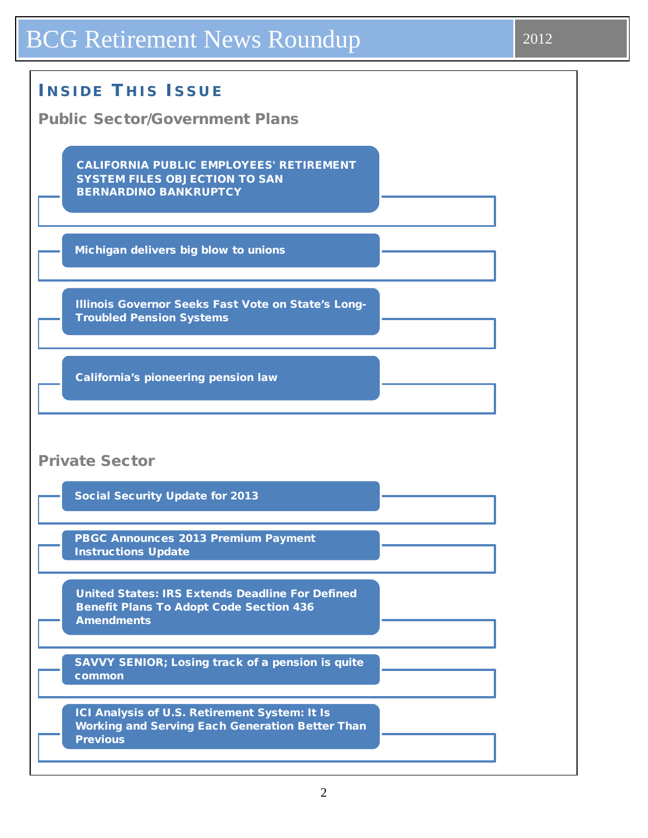# BCG Retirement News Roundup 2012

| <b>INSIDE THIS ISSUE</b>                                                                                                      |
|-------------------------------------------------------------------------------------------------------------------------------|
| <b>Public Sector/Government Plans</b>                                                                                         |
| <b>CALIFORNIA PUBLIC EMPLOYEES' RETIREMENT</b><br><b>SYSTEM FILES OBJECTION TO SAN</b><br><b>BERNARDINO BANKRUPTCY</b>        |
| Michigan delivers big blow to unions                                                                                          |
| <b>Illinois Governor Seeks Fast Vote on State's Long-</b><br><b>Troubled Pension Systems</b>                                  |
| <b>California's pioneering pension law</b>                                                                                    |
| <b>Private Sector</b><br><b>Social Security Update for 2013</b>                                                               |
|                                                                                                                               |
| PBGC Announces 2013 Premium Payment<br><b>Instructions Update</b>                                                             |
| <b>United States: IRS Extends Deadline For Defined</b><br><b>Benefit Plans To Adopt Code Section 436</b><br><b>Amendments</b> |
| <b>SAVVY SENIOR; Losing track of a pension is quite</b><br>common                                                             |
| ICI Analysis of U.S. Retirement System: It Is<br><b>Working and Serving Each Generation Better Than</b><br><b>Previous</b>    |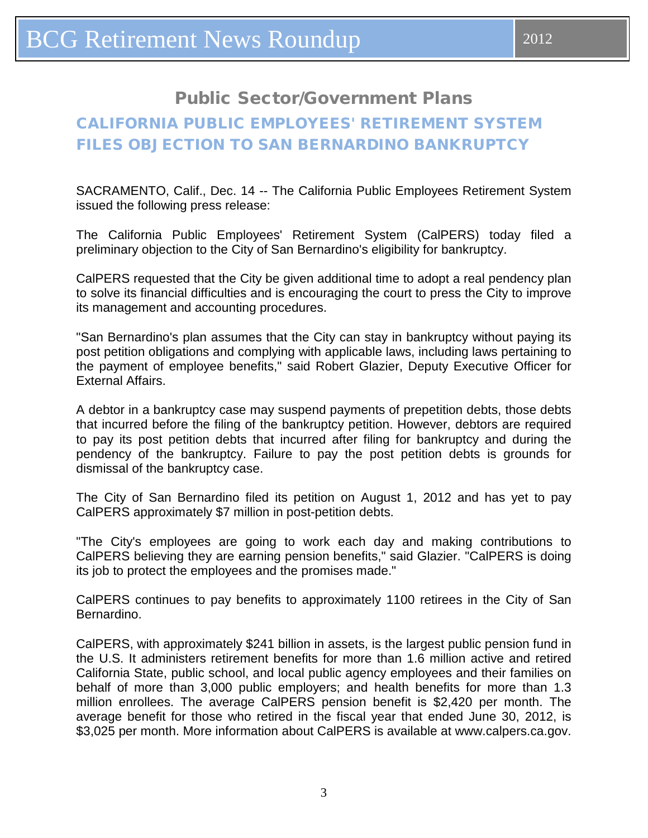# Public Sector/Government Plans

## <span id="page-2-0"></span>CALIFORNIA PUBLIC EMPLOYEES' RETIREMENT SYSTEM FILES OBJECTION TO SAN BERNARDINO BANKRUPTCY

SACRAMENTO, Calif., Dec. 14 -- The California Public Employees Retirement System issued the following press release:

The California Public Employees' Retirement System (CalPERS) today filed a preliminary objection to the City of San Bernardino's eligibility for bankruptcy.

CalPERS requested that the City be given additional time to adopt a real pendency plan to solve its financial difficulties and is encouraging the court to press the City to improve its management and accounting procedures.

"San Bernardino's plan assumes that the City can stay in bankruptcy without paying its post petition obligations and complying with applicable laws, including laws pertaining to the payment of employee benefits," said Robert Glazier, Deputy Executive Officer for External Affairs.

A debtor in a bankruptcy case may suspend payments of prepetition debts, those debts that incurred before the filing of the bankruptcy petition. However, debtors are required to pay its post petition debts that incurred after filing for bankruptcy and during the pendency of the bankruptcy. Failure to pay the post petition debts is grounds for dismissal of the bankruptcy case.

The City of San Bernardino filed its petition on August 1, 2012 and has yet to pay CalPERS approximately \$7 million in post-petition debts.

"The City's employees are going to work each day and making contributions to CalPERS believing they are earning pension benefits," said Glazier. "CalPERS is doing its job to protect the employees and the promises made."

CalPERS continues to pay benefits to approximately 1100 retirees in the City of San Bernardino.

CalPERS, with approximately \$241 billion in assets, is the largest public pension fund in the U.S. It administers retirement benefits for more than 1.6 million active and retired California State, public school, and local public agency employees and their families on behalf of more than 3,000 public employers; and health benefits for more than 1.3 million enrollees. The average CalPERS pension benefit is \$2,420 per month. The average benefit for those who retired in the fiscal year that ended June 30, 2012, is \$3,025 per month. More information about CalPERS is available at www.calpers.ca.gov.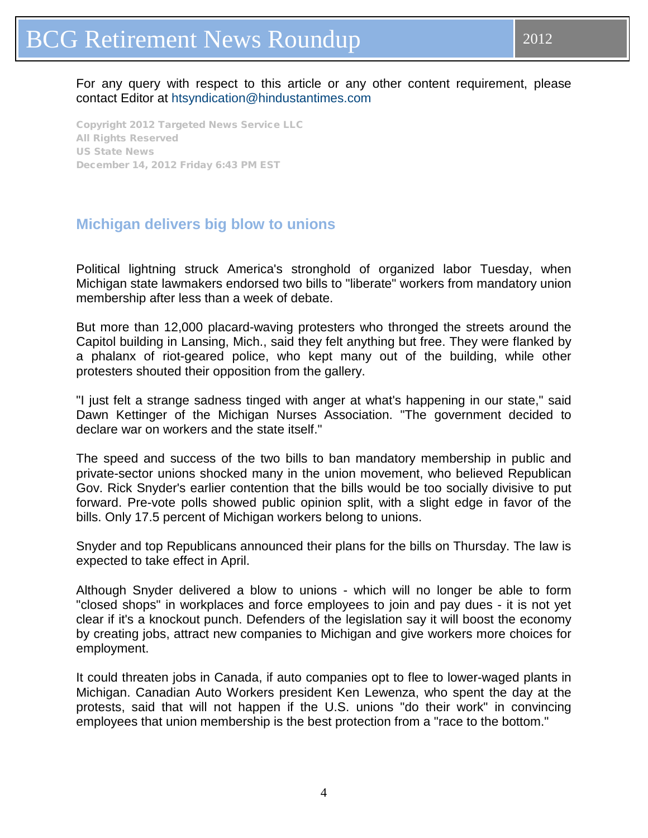<span id="page-3-0"></span>For any query with respect to this article or any other content requirement, please contact Editor at [htsyndication@hindustantimes.com](mailto:htsyndication@hindustantimes.com)

Copyright 2012 Targeted News Service LLC All Rights Reserved US State News December 14, 2012 Friday 6:43 PM EST

### **Michigan delivers big blow to unions**

Political lightning struck America's stronghold of organized labor Tuesday, when Michigan state lawmakers endorsed two bills to "liberate" workers from mandatory union membership after less than a week of debate.

But more than 12,000 placard-waving protesters who thronged the streets around the Capitol building in Lansing, Mich., said they felt anything but free. They were flanked by a phalanx of riot-geared police, who kept many out of the building, while other protesters shouted their opposition from the gallery.

"I just felt a strange sadness tinged with anger at what's happening in our state," said Dawn Kettinger of the Michigan Nurses Association. "The government decided to declare war on workers and the state itself."

The speed and success of the two bills to ban mandatory membership in public and private-sector unions shocked many in the union movement, who believed Republican Gov. Rick Snyder's earlier contention that the bills would be too socially divisive to put forward. Pre-vote polls showed public opinion split, with a slight edge in favor of the bills. Only 17.5 percent of Michigan workers belong to unions.

Snyder and top Republicans announced their plans for the bills on Thursday. The law is expected to take effect in April.

Although Snyder delivered a blow to unions - which will no longer be able to form "closed shops" in workplaces and force employees to join and pay dues - it is not yet clear if it's a knockout punch. Defenders of the legislation say it will boost the economy by creating jobs, attract new companies to Michigan and give workers more choices for employment.

It could threaten jobs in Canada, if auto companies opt to flee to lower-waged plants in Michigan. Canadian Auto Workers president Ken Lewenza, who spent the day at the protests, said that will not happen if the U.S. unions "do their work" in convincing employees that union membership is the best protection from a "race to the bottom."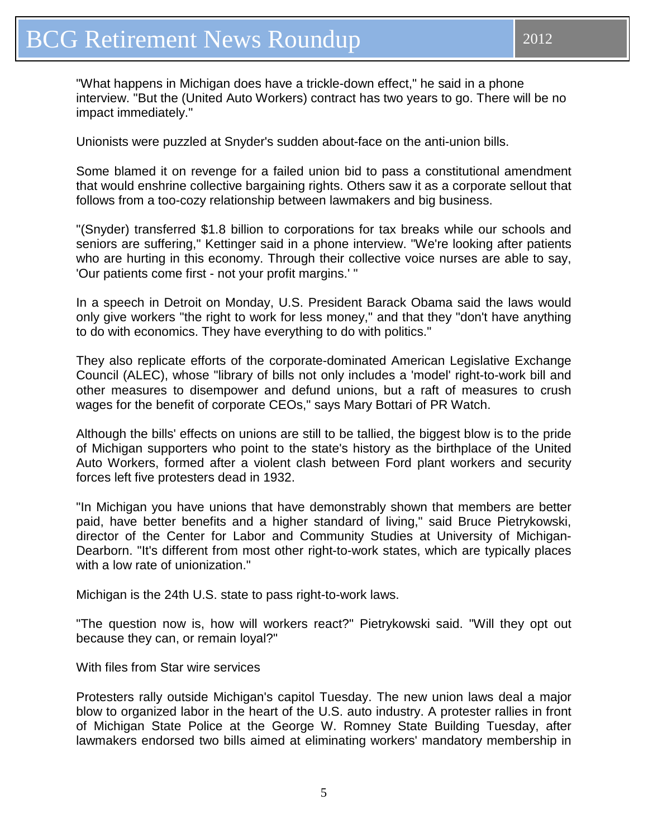Unionists were puzzled at Snyder's sudden about-face on the anti-union bills.

Some blamed it on revenge for a failed union bid to pass a constitutional amendment that would enshrine collective bargaining rights. Others saw it as a corporate sellout that follows from a too-cozy relationship between lawmakers and big business.

"(Snyder) transferred \$1.8 billion to corporations for tax breaks while our schools and seniors are suffering," Kettinger said in a phone interview. "We're looking after patients who are hurting in this economy. Through their collective voice nurses are able to say, 'Our patients come first - not your profit margins.' "

In a speech in Detroit on Monday, U.S. President Barack Obama said the laws would only give workers "the right to work for less money," and that they "don't have anything to do with economics. They have everything to do with politics."

They also replicate efforts of the corporate-dominated American Legislative Exchange Council (ALEC), whose "library of bills not only includes a 'model' right-to-work bill and other measures to disempower and defund unions, but a raft of measures to crush wages for the benefit of corporate CEOs," says Mary Bottari of PR Watch.

Although the bills' effects on unions are still to be tallied, the biggest blow is to the pride of Michigan supporters who point to the state's history as the birthplace of the United Auto Workers, formed after a violent clash between Ford plant workers and security forces left five protesters dead in 1932.

"In Michigan you have unions that have demonstrably shown that members are better paid, have better benefits and a higher standard of living," said Bruce Pietrykowski, director of the Center for Labor and Community Studies at University of Michigan-Dearborn. "It's different from most other right-to-work states, which are typically places with a low rate of unionization."

Michigan is the 24th U.S. state to pass right-to-work laws.

"The question now is, how will workers react?" Pietrykowski said. "Will they opt out because they can, or remain loyal?"

With files from Star wire services

Protesters rally outside Michigan's capitol Tuesday. The new union laws deal a major blow to organized labor in the heart of the U.S. auto industry. A protester rallies in front of Michigan State Police at the George W. Romney State Building Tuesday, after lawmakers endorsed two bills aimed at eliminating workers' mandatory membership in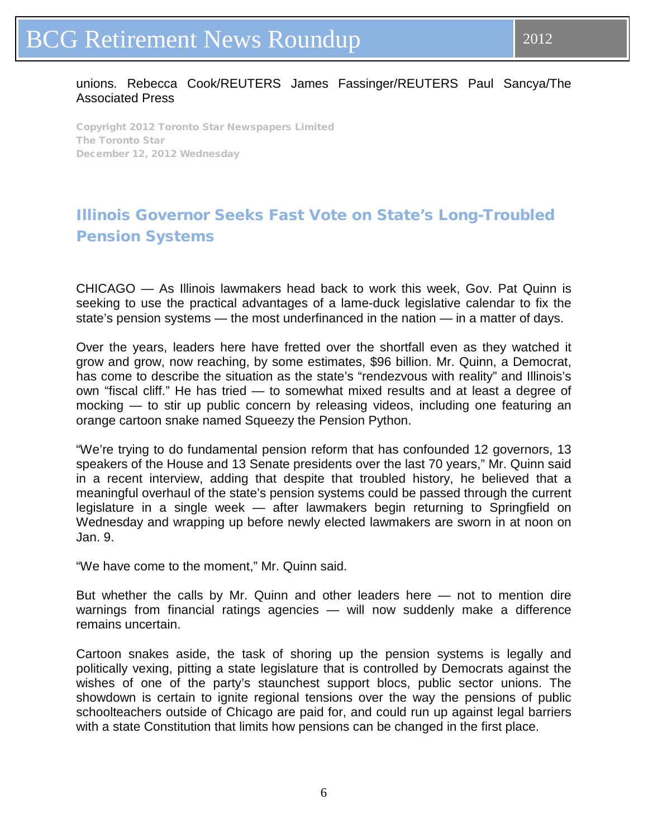#### <span id="page-5-0"></span>unions. Rebecca Cook/REUTERS James Fassinger/REUTERS Paul Sancya/The Associated Press

Copyright 2012 Toronto Star Newspapers Limited The Toronto Star December 12, 2012 Wednesday

# Illinois Governor Seeks Fast Vote on State's Long-Troubled Pension Systems

CHICAGO — As Illinois lawmakers head back to work this week, Gov. Pat Quinn is seeking to use the practical advantages of a lame-duck legislative calendar to fix the state's pension systems — the most underfinanced in the nation — in a matter of days.

Over the years, leaders here have fretted over the shortfall even as they watched it grow and grow, now reaching, by some estimates, \$96 billion. Mr. Quinn, a Democrat, has come to describe the situation as the state's "rendezvous with reality" and Illinois's own "fiscal cliff." He has tried — to somewhat mixed results and at least a degree of mocking — to stir up public concern by releasing videos, including one featuring an orange cartoon snake named Squeezy the Pension Python.

"We're trying to do fundamental pension reform that has confounded 12 governors, 13 speakers of the House and 13 Senate presidents over the last 70 years," Mr. Quinn said in a recent interview, adding that despite that troubled history, he believed that a meaningful overhaul of the state's pension systems could be passed through the current legislature in a single week — after lawmakers begin returning to Springfield on Wednesday and wrapping up before newly elected lawmakers are sworn in at noon on Jan. 9.

"We have come to the moment," Mr. Quinn said.

But whether the calls by Mr. Quinn and other leaders here — not to mention dire warnings from financial ratings agencies — will now suddenly make a difference remains uncertain.

Cartoon snakes aside, the task of shoring up the pension systems is legally and politically vexing, pitting a state legislature that is controlled by Democrats against the wishes of one of the party's staunchest support blocs, public sector unions. The showdown is certain to ignite regional tensions over the way the pensions of public schoolteachers outside of Chicago are paid for, and could run up against legal barriers with a state Constitution that limits how pensions can be changed in the first place.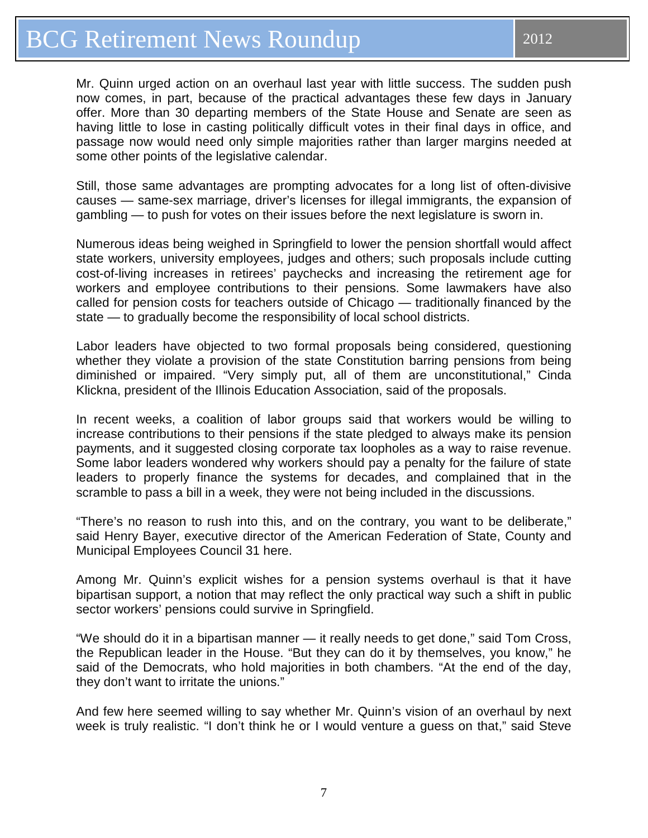Mr. Quinn urged action on an overhaul last year with little success. The sudden push now comes, in part, because of the practical advantages these few days in January offer. More than 30 departing members of the State House and Senate are seen as having little to lose in casting politically difficult votes in their final days in office, and passage now would need only simple majorities rather than larger margins needed at some other points of the legislative calendar.

Still, those same advantages are prompting advocates for a long list of often-divisive causes — same-sex marriage, driver's licenses for illegal immigrants, the expansion of gambling — to push for votes on their issues before the next legislature is sworn in.

Numerous ideas being weighed in Springfield to lower the pension shortfall would affect state workers, university employees, judges and others; such proposals include cutting cost-of-living increases in retirees' paychecks and increasing the retirement age for workers and employee contributions to their pensions. Some lawmakers have also called for pension costs for teachers outside of Chicago — traditionally financed by the state — to gradually become the responsibility of local school districts.

Labor leaders have objected to two formal proposals being considered, questioning whether they violate a provision of the state Constitution barring pensions from being diminished or impaired. "Very simply put, all of them are unconstitutional," Cinda Klickna, president of the Illinois Education Association, said of the proposals.

In recent weeks, a coalition of labor groups said that workers would be willing to increase contributions to their pensions if the state pledged to always make its pension payments, and it suggested closing corporate tax loopholes as a way to raise revenue. Some labor leaders wondered why workers should pay a penalty for the failure of state leaders to properly finance the systems for decades, and complained that in the scramble to pass a bill in a week, they were not being included in the discussions.

"There's no reason to rush into this, and on the contrary, you want to be deliberate," said Henry Bayer, executive director of the American Federation of State, County and Municipal Employees Council 31 here.

Among Mr. Quinn's explicit wishes for a pension systems overhaul is that it have bipartisan support, a notion that may reflect the only practical way such a shift in public sector workers' pensions could survive in Springfield.

"We should do it in a bipartisan manner — it really needs to get done," said Tom Cross, the Republican leader in the House. "But they can do it by themselves, you know," he said of the Democrats, who hold majorities in both chambers. "At the end of the day, they don't want to irritate the unions."

And few here seemed willing to say whether Mr. Quinn's vision of an overhaul by next week is truly realistic. "I don't think he or I would venture a guess on that," said Steve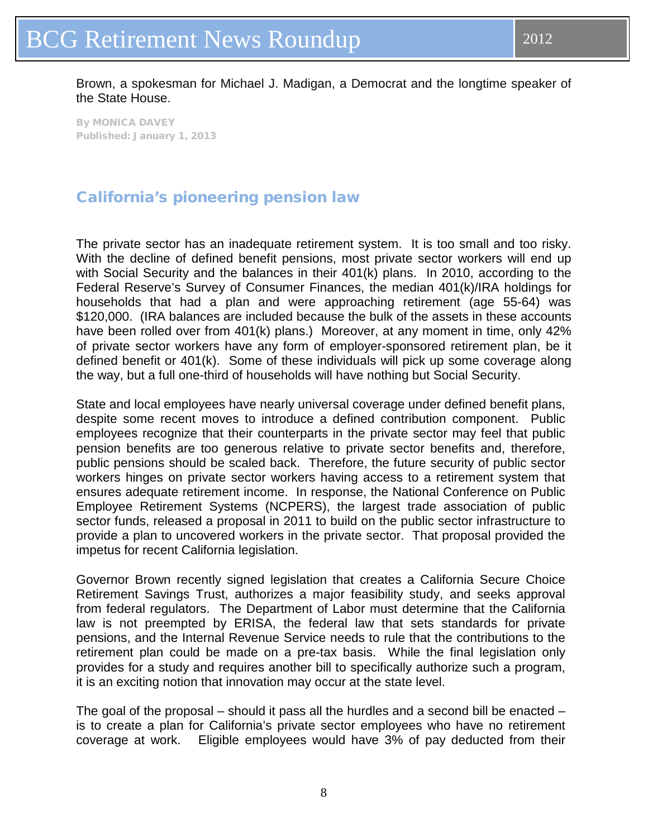<span id="page-7-0"></span>Brown, a spokesman for Michael J. Madigan, a Democrat and the longtime speaker of the State House.

By MONICA DAVEY Published: January 1, 2013

## California's pioneering pension law

The private sector has an inadequate retirement system. It is too small and too risky. With the decline of defined benefit pensions, most private sector workers will end up with Social Security and the balances in their 401(k) plans. In 2010, according to the Federal Reserve's Survey of Consumer Finances, the median 401(k)/IRA holdings for households that had a plan and were approaching retirement (age 55-64) was \$120,000. (IRA balances are included because the bulk of the assets in these accounts have been rolled over from 401(k) plans.) Moreover, at any moment in time, only 42% of private sector workers have any form of employer-sponsored retirement plan, be it defined benefit or 401(k). Some of these individuals will pick up some coverage along the way, but a full one-third of households will have nothing but Social Security.

State and local employees have nearly universal coverage under defined benefit plans, despite some recent moves to introduce a defined contribution component. Public employees recognize that their counterparts in the private sector may feel that public pension benefits are too generous relative to private sector benefits and, therefore, public pensions should be scaled back. Therefore, the future security of public sector workers hinges on private sector workers having access to a retirement system that ensures adequate retirement income. In response, the National Conference on Public Employee Retirement Systems (NCPERS), the largest trade association of public sector funds, released a proposal in 2011 to build on the public sector infrastructure to provide a plan to uncovered workers in the private sector. That proposal provided the impetus for recent California legislation.

Governor Brown recently signed legislation that creates a California Secure Choice Retirement Savings Trust, authorizes a major feasibility study, and seeks approval from federal regulators. The Department of Labor must determine that the California law is not preempted by ERISA, the federal law that sets standards for private pensions, and the Internal Revenue Service needs to rule that the contributions to the retirement plan could be made on a pre-tax basis. While the final legislation only provides for a study and requires another bill to specifically authorize such a program, it is an exciting notion that innovation may occur at the state level.

The goal of the proposal – should it pass all the hurdles and a second bill be enacted – is to create a plan for California's private sector employees who have no retirement coverage at work. Eligible employees would have 3% of pay deducted from their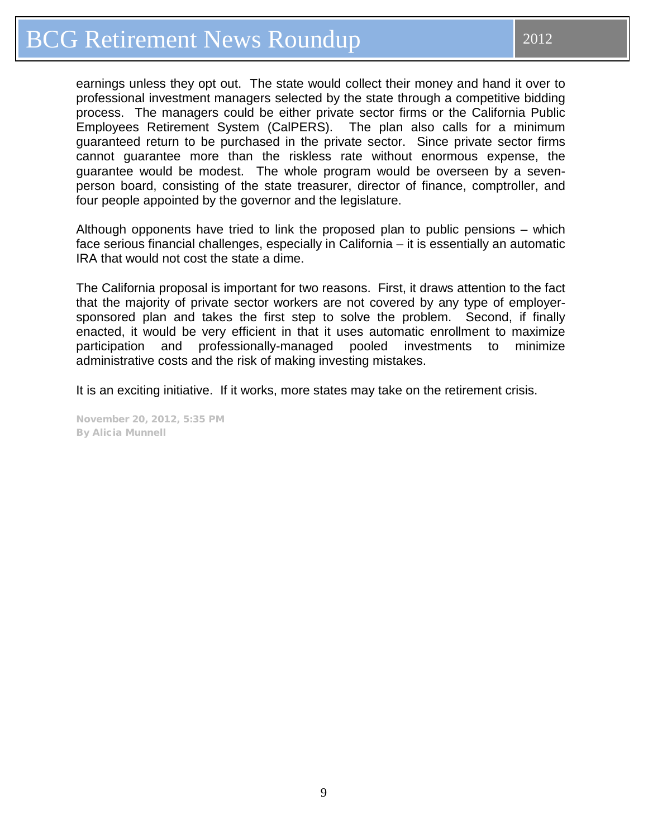earnings unless they opt out. The state would collect their money and hand it over to professional investment managers selected by the state through a competitive bidding process. The managers could be either private sector firms or the California Public Employees Retirement System (CalPERS). The plan also calls for a minimum guaranteed return to be purchased in the private sector. Since private sector firms cannot guarantee more than the riskless rate without enormous expense, the guarantee would be modest. The whole program would be overseen by a sevenperson board, consisting of the state treasurer, director of finance, comptroller, and four people appointed by the governor and the legislature.

Although opponents have tried to link the proposed plan to public pensions – which face serious financial challenges, especially in California – it is essentially an automatic IRA that would not cost the state a dime.

The California proposal is important for two reasons. First, it draws attention to the fact that the majority of private sector workers are not covered by any type of employersponsored plan and takes the first step to solve the problem. Second, if finally enacted, it would be very efficient in that it uses automatic enrollment to maximize participation and professionally-managed pooled investments to minimize administrative costs and the risk of making investing mistakes.

It is an exciting initiative. If it works, more states may take on the retirement crisis.

November 20, 2012, 5:35 PM By Alicia Munnell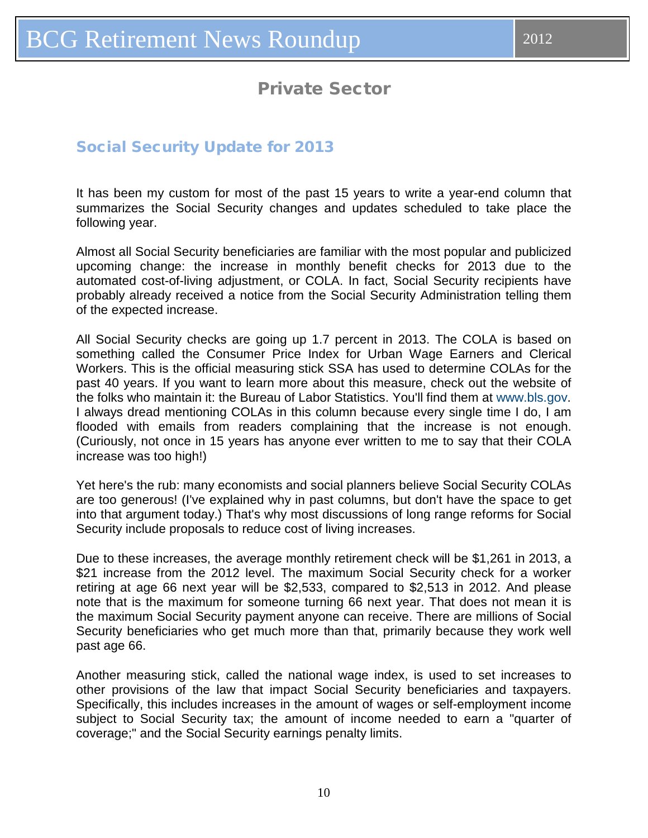## Private Sector

## <span id="page-9-0"></span>Social Security Update for 2013

It has been my custom for most of the past 15 years to write a year-end column that summarizes the Social Security changes and updates scheduled to take place the following year.

Almost all Social Security beneficiaries are familiar with the most popular and publicized upcoming change: the increase in monthly benefit checks for 2013 due to the automated cost-of-living adjustment, or COLA. In fact, Social Security recipients have probably already received a notice from the Social Security Administration telling them of the expected increase.

All Social Security checks are going up 1.7 percent in 2013. The COLA is based on something called the Consumer Price Index for Urban Wage Earners and Clerical Workers. This is the official measuring stick SSA has used to determine COLAs for the past 40 years. If you want to learn more about this measure, check out the website of the folks who maintain it: the Bureau of Labor Statistics. You'll find them at [www.bls.gov.](http://www.bls.gov/) I always dread mentioning COLAs in this column because every single time I do, I am flooded with emails from readers complaining that the increase is not enough. (Curiously, not once in 15 years has anyone ever written to me to say that their COLA increase was too high!)

Yet here's the rub: many economists and social planners believe Social Security COLAs are too generous! (I've explained why in past columns, but don't have the space to get into that argument today.) That's why most discussions of long range reforms for Social Security include proposals to reduce cost of living increases.

Due to these increases, the average monthly retirement check will be \$1,261 in 2013, a \$21 increase from the 2012 level. The maximum Social Security check for a worker retiring at age 66 next year will be \$2,533, compared to \$2,513 in 2012. And please note that is the maximum for someone turning 66 next year. That does not mean it is the maximum Social Security payment anyone can receive. There are millions of Social Security beneficiaries who get much more than that, primarily because they work well past age 66.

Another measuring stick, called the national wage index, is used to set increases to other provisions of the law that impact Social Security beneficiaries and taxpayers. Specifically, this includes increases in the amount of wages or self-employment income subject to Social Security tax; the amount of income needed to earn a "quarter of coverage;" and the Social Security earnings penalty limits.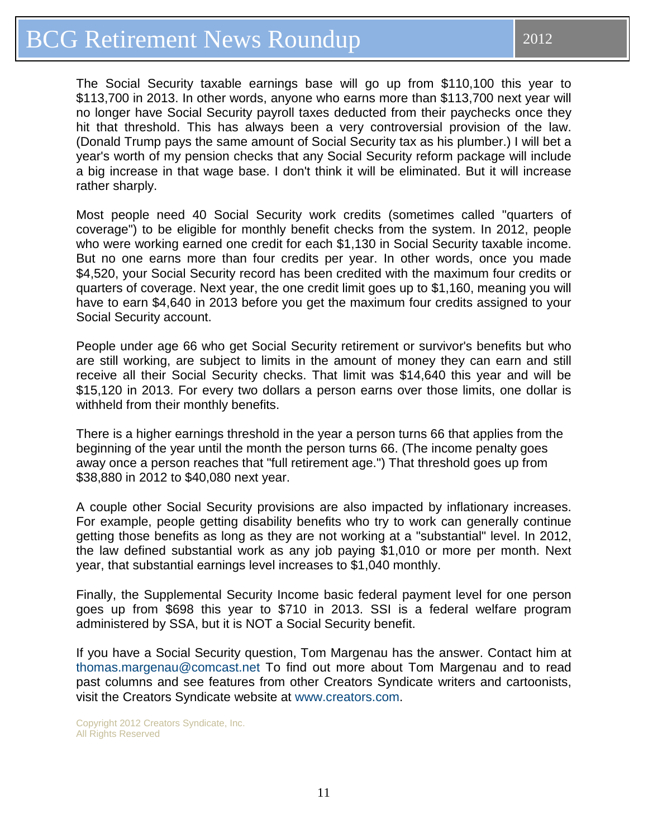The Social Security taxable earnings base will go up from \$110,100 this year to \$113,700 in 2013. In other words, anyone who earns more than \$113,700 next year will no longer have Social Security payroll taxes deducted from their paychecks once they hit that threshold. This has always been a very controversial provision of the law. (Donald Trump pays the same amount of Social Security tax as his plumber.) I will bet a year's worth of my pension checks that any Social Security reform package will include a big increase in that wage base. I don't think it will be eliminated. But it will increase rather sharply.

Most people need 40 Social Security work credits (sometimes called "quarters of coverage") to be eligible for monthly benefit checks from the system. In 2012, people who were working earned one credit for each \$1,130 in Social Security taxable income. But no one earns more than four credits per year. In other words, once you made \$4,520, your Social Security record has been credited with the maximum four credits or quarters of coverage. Next year, the one credit limit goes up to \$1,160, meaning you will have to earn \$4,640 in 2013 before you get the maximum four credits assigned to your Social Security account.

People under age 66 who get Social Security retirement or survivor's benefits but who are still working, are subject to limits in the amount of money they can earn and still receive all their Social Security checks. That limit was \$14,640 this year and will be \$15,120 in 2013. For every two dollars a person earns over those limits, one dollar is withheld from their monthly benefits.

There is a higher earnings threshold in the year a person turns 66 that applies from the beginning of the year until the month the person turns 66. (The income penalty goes away once a person reaches that "full retirement age.") That threshold goes up from \$38,880 in 2012 to \$40,080 next year.

A couple other Social Security provisions are also impacted by inflationary increases. For example, people getting disability benefits who try to work can generally continue getting those benefits as long as they are not working at a "substantial" level. In 2012, the law defined substantial work as any job paying \$1,010 or more per month. Next year, that substantial earnings level increases to \$1,040 monthly.

Finally, the Supplemental Security Income basic federal payment level for one person goes up from \$698 this year to \$710 in 2013. SSI is a federal welfare program administered by SSA, but it is NOT a Social Security benefit.

If you have a Social Security question, Tom Margenau has the answer. Contact him at [thomas.margenau@comcast.net](mailto:thomas.margenau@comcast.net) To find out more about Tom Margenau and to read past columns and see features from other Creators Syndicate writers and cartoonists, visit the Creators Syndicate website at [www.creators.com.](http://www.creators.com/)

Copyright 2012 Creators Syndicate, Inc. All Rights Reserved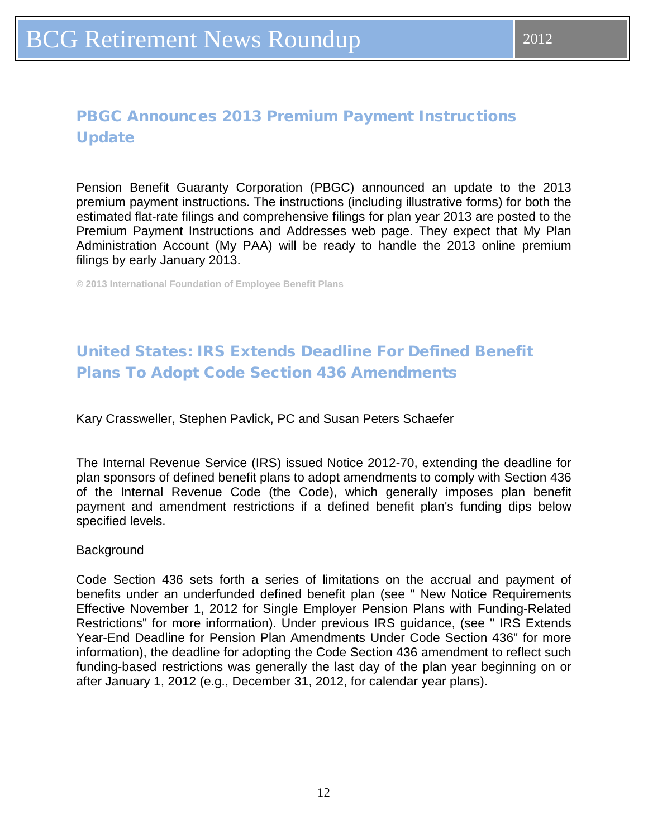# <span id="page-11-0"></span>PBGC Announces 2013 Premium Payment Instructions Update

Pension Benefit Guaranty Corporation (PBGC) announced an update to the 2013 premium payment instructions. The instructions (including illustrative forms) for both the estimated flat-rate filings and comprehensive filings for plan year 2013 are posted to the Premium Payment Instructions and Addresses web page. They expect that My Plan Administration Account (My PAA) will be ready to handle the 2013 online premium filings by early January 2013.

**© 2013 International Foundation of Employee Benefit Plans** 

## United States: IRS Extends Deadline For Defined Benefit Plans To Adopt Code Section 436 Amendments

Kary Crassweller, Stephen Pavlick, PC and Susan Peters Schaefer

The Internal Revenue Service (IRS) issued Notice 2012-70, extending the deadline for plan sponsors of defined benefit plans to adopt amendments to comply with Section 436 of the Internal Revenue Code (the Code), which generally imposes plan benefit payment and amendment restrictions if a defined benefit plan's funding dips below specified levels.

#### **Background**

Code Section 436 sets forth a series of limitations on the accrual and payment of benefits under an underfunded defined benefit plan (see " New Notice Requirements Effective November 1, 2012 for Single Employer Pension Plans with Funding-Related Restrictions" for more information). Under previous IRS guidance, (see " IRS Extends Year-End Deadline for Pension Plan Amendments Under Code Section 436" for more information), the deadline for adopting the Code Section 436 amendment to reflect such funding-based restrictions was generally the last day of the plan year beginning on or after January 1, 2012 (e.g., December 31, 2012, for calendar year plans).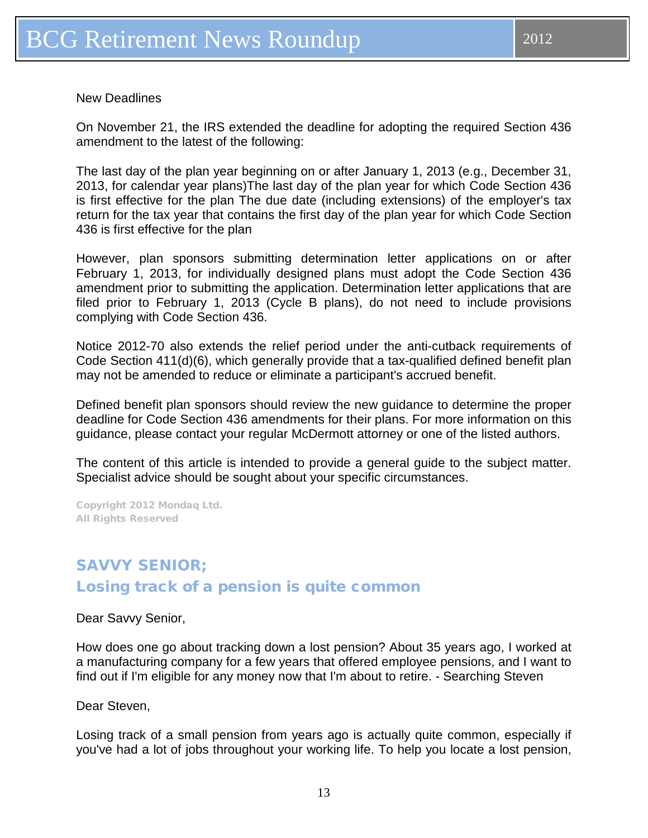#### <span id="page-12-0"></span>New Deadlines

On November 21, the IRS extended the deadline for adopting the required Section 436 amendment to the latest of the following:

The last day of the plan year beginning on or after January 1, 2013 (e.g., December 31, 2013, for calendar year plans)The last day of the plan year for which Code Section 436 is first effective for the plan The due date (including extensions) of the employer's tax return for the tax year that contains the first day of the plan year for which Code Section 436 is first effective for the plan

However, plan sponsors submitting determination letter applications on or after February 1, 2013, for individually designed plans must adopt the Code Section 436 amendment prior to submitting the application. Determination letter applications that are filed prior to February 1, 2013 (Cycle B plans), do not need to include provisions complying with Code Section 436.

Notice 2012-70 also extends the relief period under the anti-cutback requirements of Code Section 411(d)(6), which generally provide that a tax-qualified defined benefit plan may not be amended to reduce or eliminate a participant's accrued benefit.

Defined benefit plan sponsors should review the new guidance to determine the proper deadline for Code Section 436 amendments for their plans. For more information on this guidance, please contact your regular McDermott attorney or one of the listed authors.

The content of this article is intended to provide a general guide to the subject matter. Specialist advice should be sought about your specific circumstances.

Copyright 2012 Mondaq Ltd. All Rights Reserved

### SAVVY SENIOR;

#### Losing track of a pension is quite common

Dear Savvy Senior,

How does one go about tracking down a lost pension? About 35 years ago, I worked at a manufacturing company for a few years that offered employee pensions, and I want to find out if I'm eligible for any money now that I'm about to retire. - Searching Steven

Dear Steven,

Losing track of a small pension from years ago is actually quite common, especially if you've had a lot of jobs throughout your working life. To help you locate a lost pension,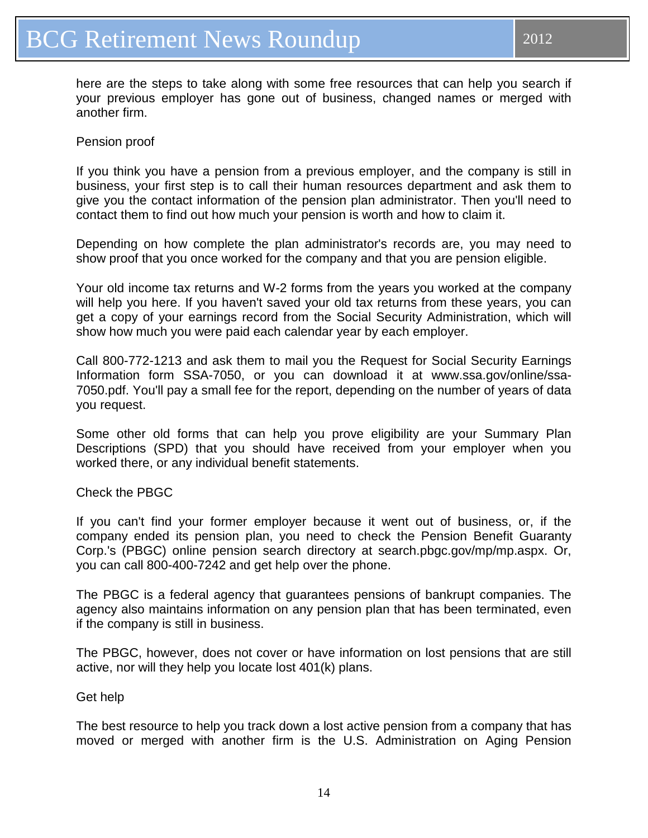here are the steps to take along with some free resources that can help you search if your previous employer has gone out of business, changed names or merged with another firm.

#### Pension proof

If you think you have a pension from a previous employer, and the company is still in business, your first step is to call their human resources department and ask them to give you the contact information of the pension plan administrator. Then you'll need to contact them to find out how much your pension is worth and how to claim it.

Depending on how complete the plan administrator's records are, you may need to show proof that you once worked for the company and that you are pension eligible.

Your old income tax returns and W-2 forms from the years you worked at the company will help you here. If you haven't saved your old tax returns from these years, you can get a copy of your earnings record from the Social Security Administration, which will show how much you were paid each calendar year by each employer.

Call 800-772-1213 and ask them to mail you the Request for Social Security Earnings Information form SSA-7050, or you can download it at www.ssa.gov/online/ssa-7050.pdf. You'll pay a small fee for the report, depending on the number of years of data you request.

Some other old forms that can help you prove eligibility are your Summary Plan Descriptions (SPD) that you should have received from your employer when you worked there, or any individual benefit statements.

#### Check the PBGC

If you can't find your former employer because it went out of business, or, if the company ended its pension plan, you need to check the Pension Benefit Guaranty Corp.'s (PBGC) online pension search directory at search.pbgc.gov/mp/mp.aspx. Or, you can call 800-400-7242 and get help over the phone.

The PBGC is a federal agency that guarantees pensions of bankrupt companies. The agency also maintains information on any pension plan that has been terminated, even if the company is still in business.

The PBGC, however, does not cover or have information on lost pensions that are still active, nor will they help you locate lost 401(k) plans.

#### Get help

The best resource to help you track down a lost active pension from a company that has moved or merged with another firm is the U.S. Administration on Aging Pension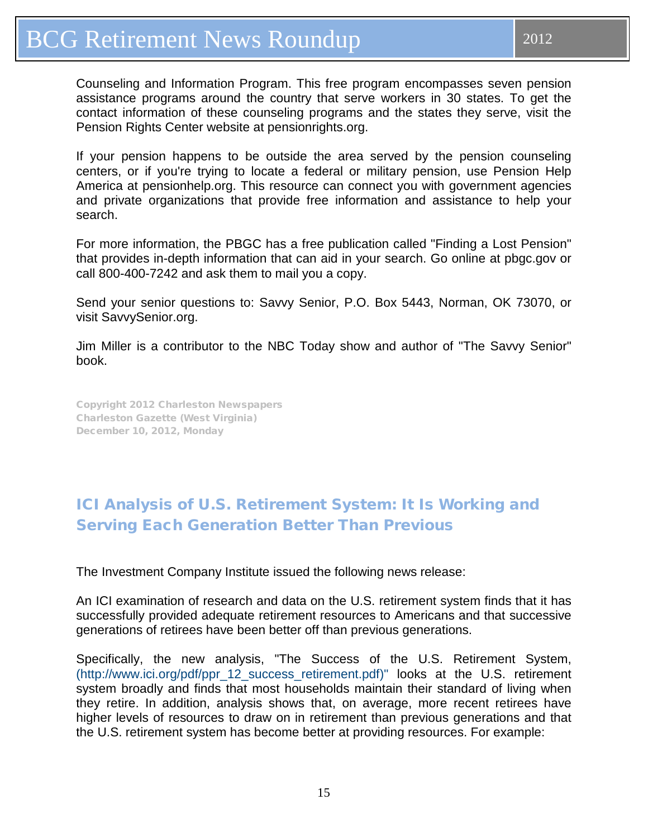<span id="page-14-0"></span>Counseling and Information Program. This free program encompasses seven pension assistance programs around the country that serve workers in 30 states. To get the contact information of these counseling programs and the states they serve, visit the Pension Rights Center website at pensionrights.org.

If your pension happens to be outside the area served by the pension counseling centers, or if you're trying to locate a federal or military pension, use Pension Help America at pensionhelp.org. This resource can connect you with government agencies and private organizations that provide free information and assistance to help your search.

For more information, the PBGC has a free publication called "Finding a Lost Pension" that provides in-depth information that can aid in your search. Go online at pbgc.gov or call 800-400-7242 and ask them to mail you a copy.

Send your senior questions to: Savvy Senior, P.O. Box 5443, Norman, OK 73070, or visit SavvySenior.org.

Jim Miller is a contributor to the NBC Today show and author of "The Savvy Senior" book.

Copyright 2012 Charleston Newspapers Charleston Gazette (West Virginia) December 10, 2012, Monday

# ICI Analysis of U.S. Retirement System: It Is Working and Serving Each Generation Better Than Previous

The Investment Company Institute issued the following news release:

An ICI examination of research and data on the U.S. retirement system finds that it has successfully provided adequate retirement resources to Americans and that successive generations of retirees have been better off than previous generations.

Specifically, the new analysis, "The Success of the U.S. Retirement System, (http://www.ici.org/pdf/ppr\_12\_success\_retirement.pdf)" looks at the U.S. retirement system broadly and finds that most households maintain their standard of living when they retire. In addition, analysis shows that, on average, more recent retirees have higher levels of resources to draw on in retirement than previous generations and that the U.S. retirement system has become better at providing resources. For example: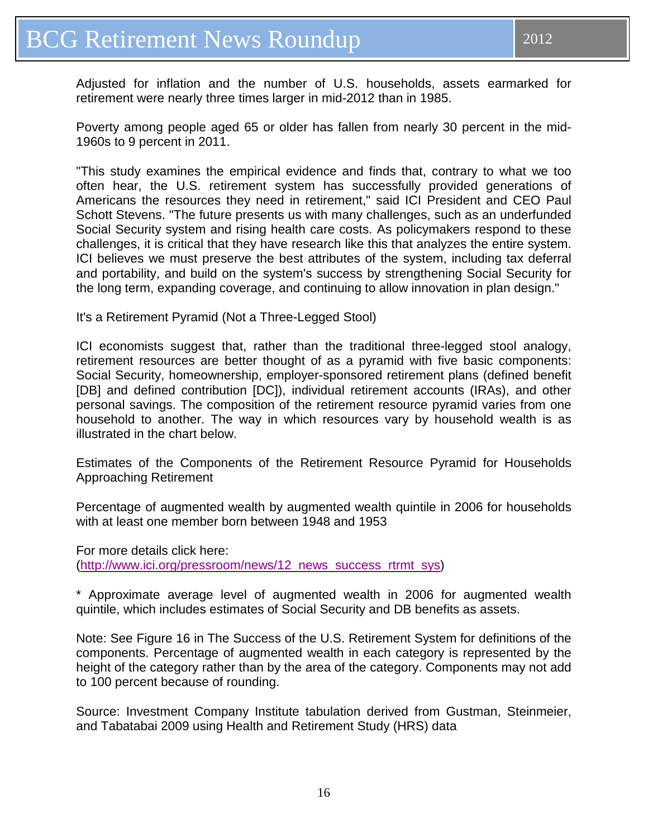Poverty among people aged 65 or older has fallen from nearly 30 percent in the mid-1960s to 9 percent in 2011.

"This study examines the empirical evidence and finds that, contrary to what we too often hear, the U.S. retirement system has successfully provided generations of Americans the resources they need in retirement," said ICI President and CEO Paul Schott Stevens. "The future presents us with many challenges, such as an underfunded Social Security system and rising health care costs. As policymakers respond to these challenges, it is critical that they have research like this that analyzes the entire system. ICI believes we must preserve the best attributes of the system, including tax deferral and portability, and build on the system's success by strengthening Social Security for the long term, expanding coverage, and continuing to allow innovation in plan design."

It's a Retirement Pyramid (Not a Three-Legged Stool)

ICI economists suggest that, rather than the traditional three-legged stool analogy, retirement resources are better thought of as a pyramid with five basic components: Social Security, homeownership, employer-sponsored retirement plans (defined benefit [DB] and defined contribution [DC]), individual retirement accounts (IRAs), and other personal savings. The composition of the retirement resource pyramid varies from one household to another. The way in which resources vary by household wealth is as illustrated in the chart below.

Estimates of the Components of the Retirement Resource Pyramid for Households Approaching Retirement

Percentage of augmented wealth by augmented wealth quintile in 2006 for households with at least one member born between 1948 and 1953

For more details click here: [\(http://www.ici.org/pressroom/news/12\\_news\\_success\\_rtrmt\\_sys\)](http://www.ici.org/pressroom/news/12_news_success_rtrmt_sys)

\* Approximate average level of augmented wealth in 2006 for augmented wealth quintile, which includes estimates of Social Security and DB benefits as assets.

Note: See Figure 16 in The Success of the U.S. Retirement System for definitions of the components. Percentage of augmented wealth in each category is represented by the height of the category rather than by the area of the category. Components may not add to 100 percent because of rounding.

Source: Investment Company Institute tabulation derived from Gustman, Steinmeier, and Tabatabai 2009 using Health and Retirement Study (HRS) data